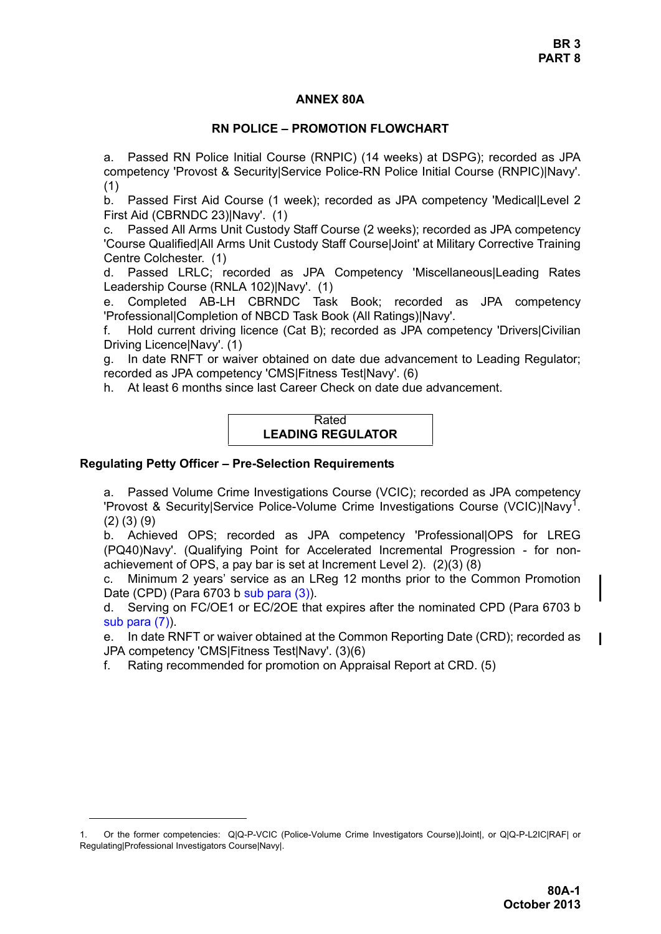## **ANNEX 80A**

# **RN POLICE – PROMOTION FLOWCHART**

a. Passed RN Police Initial Course (RNPIC) (14 weeks) at DSPG); recorded as JPA competency 'Provost & Security|Service Police-RN Police Initial Course (RNPIC)|Navy'. (1)

b. Passed First Aid Course (1 week); recorded as JPA competency 'Medical|Level 2 First Aid (CBRNDC 23)|Navy'. (1)

c. Passed All Arms Unit Custody Staff Course (2 weeks); recorded as JPA competency 'Course Qualified|All Arms Unit Custody Staff Course|Joint' at Military Corrective Training Centre Colchester. (1)

d. Passed LRLC; recorded as JPA Competency 'Miscellaneous|Leading Rates Leadership Course (RNLA 102)|Navy'. (1)

e. Completed AB-LH CBRNDC Task Book; recorded as JPA competency 'Professional|Completion of NBCD Task Book (All Ratings)|Navy'.

f. Hold current driving licence (Cat B); recorded as JPA competency 'Drivers|Civilian Driving Licence|Navy'. (1)

g. In date RNFT or waiver obtained on date due advancement to Leading Regulator; recorded as JPA competency 'CMS|Fitness Test|Navy'. (6)

h. At least 6 months since last Career Check on date due advancement.

Rated **LEADING REGULATOR**

# **Regulating Petty Officer – Pre-Selection Requirements**

a. Passed Volume Crime Investigations Course (VCIC); recorded as JPA competency 'Provost & Security|Service Police-Volume Crime Investigations Course (VCIC)|Navy1. (2) (3) (9)

b. Achieved OPS; recorded as JPA competency 'Professional|OPS for LREG (PQ40)Navy'. (Qualifying Point for Accelerated Incremental Progression - for nonachievement of OPS, a pay bar is set at Increment Level 2). (2)(3) (8)

c. Minimum 2 years' service as an LReg 12 months prior to the Common Promotion Date (CPD) (Para 6703 b sub para (3)).

d. Serving on FC/OE1 or EC/2OE that expires after the nominated CPD (Para 6703 b sub para (7)).

e. In date RNFT or waiver obtained at the Common Reporting Date (CRD); recorded as JPA competency 'CMS|Fitness Test|Navy'. (3)(6)

f. Rating recommended for promotion on Appraisal Report at CRD. (5)

<sup>1.</sup> Or the former competencies: QIQ-P-VCIC (Police-Volume Crime Investigators Course)|Joint|, or QIQ-P-L2ICIRAF| or Regulating|Professional Investigators Course|Navy|.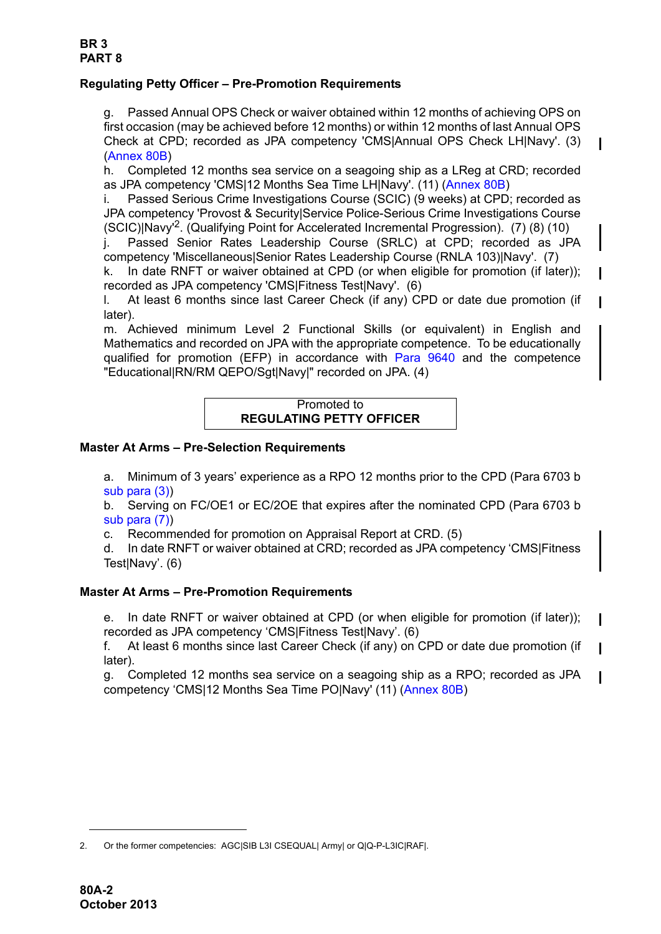# **Regulating Petty Officer – Pre-Promotion Requirements**

g. Passed Annual OPS Check or waiver obtained within 12 months of achieving OPS on first occasion (may be achieved before 12 months) or within 12 months of last Annual OPS Check at CPD; recorded as JPA competency 'CMS|Annual OPS Check LH|Navy'. (3) (Annex 80B)

h. Completed 12 months sea service on a seagoing ship as a LReg at CRD; recorded as JPA competency 'CMS|12 Months Sea Time LH|Navy'. (11) (Annex 80B)

i. Passed Serious Crime Investigations Course (SCIC) (9 weeks) at CPD; recorded as JPA competency 'Provost & Security|Service Police-Serious Crime Investigations Course (SCIC)|Navy'2. (Qualifying Point for Accelerated Incremental Progression). (7) (8) (10)

j. Passed Senior Rates Leadership Course (SRLC) at CPD; recorded as JPA competency 'Miscellaneous|Senior Rates Leadership Course (RNLA 103)|Navy'. (7)

k. In date RNFT or waiver obtained at CPD (or when eligible for promotion (if later)); recorded as JPA competency 'CMS|Fitness Test|Navy'. (6)

l. At least 6 months since last Career Check (if any) CPD or date due promotion (if later).

m. Achieved minimum Level 2 Functional Skills (or equivalent) in English and Mathematics and recorded on JPA with the appropriate competence. To be educationally qualified for promotion (EFP) in accordance with [Para 9640](#page-34-0) and the competence "Educational|RN/RM QEPO/Sgt|Navy|" recorded on JPA. (4)

## Promoted to **REGULATING PETTY OFFICER**

#### **Master At Arms – Pre-Selection Requirements**

a. Minimum of 3 years' experience as a RPO 12 months prior to the CPD (Para 6703 b sub para (3))

b. Serving on FC/OE1 or EC/2OE that expires after the nominated CPD (Para 6703 b sub para (7))

c. Recommended for promotion on Appraisal Report at CRD. (5)

d. In date RNFT or waiver obtained at CRD; recorded as JPA competency 'CMS|Fitness Test|Navy'. (6)

# **Master At Arms – Pre-Promotion Requirements**

e. In date RNFT or waiver obtained at CPD (or when eligible for promotion (if later)); recorded as JPA competency 'CMS|Fitness Test|Navy'. (6)

f. At least 6 months since last Career Check (if any) on CPD or date due promotion (if later).

g. Completed 12 months sea service on a seagoing ship as a RPO; recorded as JPA competency 'CMS|12 Months Sea Time PO|Navy' (11) (Annex 80B)

<sup>2.</sup> Or the former competencies: AGC|SIB L3I CSEQUAL| Army| or Q|Q-P-L3IC|RAF|.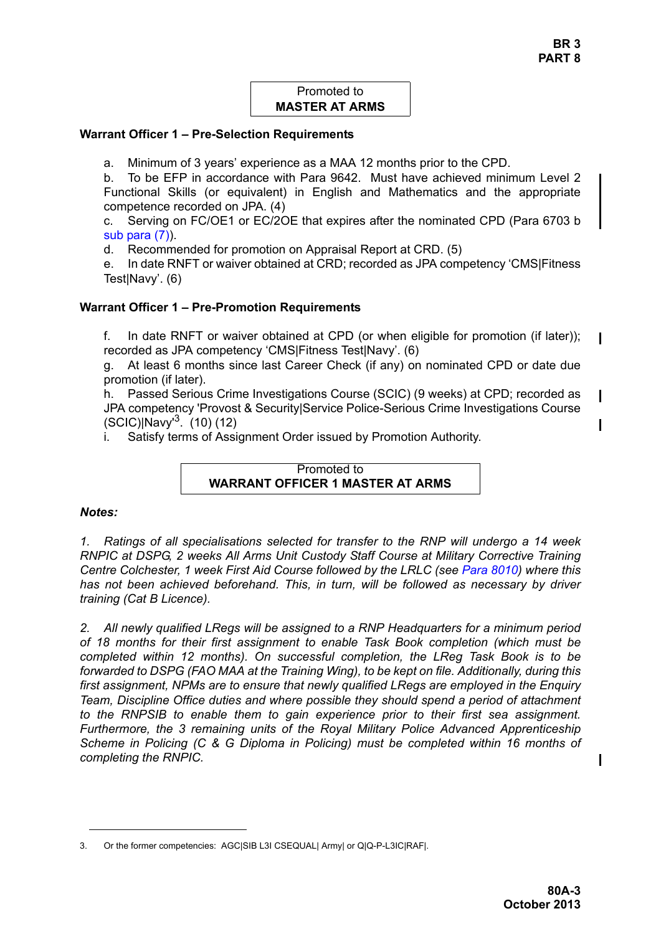# Promoted to **MASTER AT ARMS**

#### **Warrant Officer 1 – Pre-Selection Requirements**

a. Minimum of 3 years' experience as a MAA 12 months prior to the CPD.

b. To be EFP in accordance with Para 9642. Must have achieved minimum Level 2 Functional Skills (or equivalent) in English and Mathematics and the appropriate competence recorded on JPA. (4)

c. Serving on FC/OE1 or EC/2OE that expires after the nominated CPD (Para 6703 b sub para (7)).

d. Recommended for promotion on Appraisal Report at CRD. (5)

e. In date RNFT or waiver obtained at CRD; recorded as JPA competency 'CMS|Fitness Test|Navy'. (6)

## **Warrant Officer 1 – Pre-Promotion Requirements**

f. In date RNFT or waiver obtained at CPD (or when eligible for promotion (if later)); recorded as JPA competency 'CMS|Fitness Test|Navy'. (6)

g. At least 6 months since last Career Check (if any) on nominated CPD or date due promotion (if later).

h. Passed Serious Crime Investigations Course (SCIC) (9 weeks) at CPD; recorded as JPA competency 'Provost & Security|Service Police-Serious Crime Investigations Course (SCIC)|Navy'3. (10) (12)

i. Satisfy terms of Assignment Order issued by Promotion Authority.

Promoted to **WARRANT OFFICER 1 MASTER AT ARMS**

#### *Notes:*

*1. Ratings of all specialisations selected for transfer to the RNP will undergo a 14 week RNPIC at DSPG, 2 weeks All Arms Unit Custody Staff Course at Military Corrective Training Centre Colchester, 1 week First Aid Course followed by the LRLC (see Para 8010) where this has not been achieved beforehand. This, in turn, will be followed as necessary by driver training (Cat B Licence).* 

*2. All newly qualified LRegs will be assigned to a RNP Headquarters for a minimum period of 18 months for their first assignment to enable Task Book completion (which must be completed within 12 months). On successful completion, the LReg Task Book is to be forwarded to DSPG (FAO MAA at the Training Wing), to be kept on file. Additionally, during this first assignment, NPMs are to ensure that newly qualified LRegs are employed in the Enquiry Team, Discipline Office duties and where possible they should spend a period of attachment to the RNPSIB to enable them to gain experience prior to their first sea assignment. Furthermore, the 3 remaining units of the Royal Military Police Advanced Apprenticeship Scheme in Policing (C & G Diploma in Policing) must be completed within 16 months of completing the RNPIC.* 

<sup>3.</sup> Or the former competencies: AGC|SIB L3I CSEQUAL| Army| or Q|Q-P-L3IC|RAF|.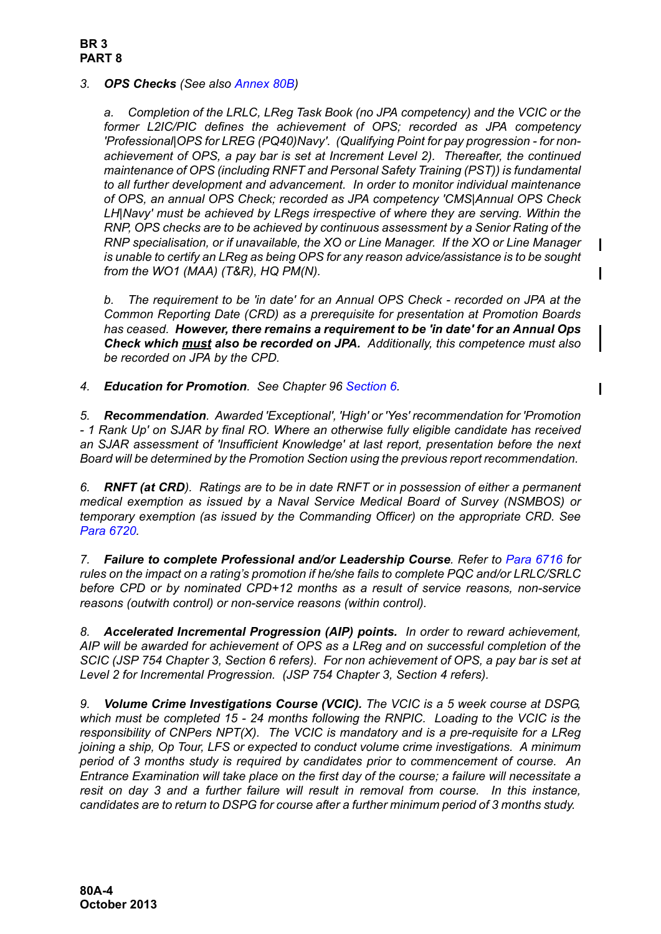## **BR 3 PART 8**

# *3. OPS Checks (See also Annex 80B)*

*a. Completion of the LRLC, LReg Task Book (no JPA competency) and the VCIC or the former L2IC/PIC defines the achievement of OPS; recorded as JPA competency 'Professional|OPS for LREG (PQ40)Navy'. (Qualifying Point for pay progression - for nonachievement of OPS, a pay bar is set at Increment Level 2). Thereafter, the continued maintenance of OPS (including RNFT and Personal Safety Training (PST)) is fundamental to all further development and advancement. In order to monitor individual maintenance of OPS, an annual OPS Check; recorded as JPA competency 'CMS|Annual OPS Check LH|Navy' must be achieved by LRegs irrespective of where they are serving. Within the RNP, OPS checks are to be achieved by continuous assessment by a Senior Rating of the RNP specialisation, or if unavailable, the XO or Line Manager. If the XO or Line Manager is unable to certify an LReg as being OPS for any reason advice/assistance is to be sought from the WO1 (MAA) (T&R), HQ PM(N).*

*b. The requirement to be 'in date' for an Annual OPS Check - recorded on JPA at the Common Reporting Date (CRD) as a prerequisite for presentation at Promotion Boards has ceased. However, there remains a requirement to be 'in date' for an Annual Ops Check which must also be recorded on JPA. Additionally, this competence must also be recorded on JPA by the CPD.*

*4. Education for Promotion. See Chapter 96 Section 6.*

*5. Recommendation. Awarded 'Exceptional', 'High' or 'Yes' recommendation for 'Promotion - 1 Rank Up' on SJAR by final RO. Where an otherwise fully eligible candidate has received an SJAR assessment of 'Insufficient Knowledge' at last report, presentation before the next Board will be determined by the Promotion Section using the previous report recommendation.* 

*6. RNFT (at CRD). Ratings are to be in date RNFT or in possession of either a permanent medical exemption as issued by a Naval Service Medical Board of Survey (NSMBOS) or temporary exemption (as issued by the Commanding Officer) on the appropriate CRD. See Para 6720.*

*7. Failure to complete Professional and/or Leadership Course. Refer to Para 6716 for rules on the impact on a rating's promotion if he/she fails to complete PQC and/or LRLC/SRLC before CPD or by nominated CPD+12 months as a result of service reasons, non-service reasons (outwith control) or non-service reasons (within control).* 

*8. Accelerated Incremental Progression (AIP) points. In order to reward achievement, AIP will be awarded for achievement of OPS as a LReg and on successful completion of the SCIC (JSP 754 Chapter 3, Section 6 refers). For non achievement of OPS, a pay bar is set at Level 2 for Incremental Progression. (JSP 754 Chapter 3, Section 4 refers).*

*9. Volume Crime Investigations Course (VCIC). The VCIC is a 5 week course at DSPG, which must be completed 15 - 24 months following the RNPIC. Loading to the VCIC is the responsibility of CNPers NPT(X). The VCIC is mandatory and is a pre-requisite for a LReg joining a ship, Op Tour, LFS or expected to conduct volume crime investigations. A minimum period of 3 months study is required by candidates prior to commencement of course. An Entrance Examination will take place on the first day of the course; a failure will necessitate a resit on day 3 and a further failure will result in removal from course. In this instance, candidates are to return to DSPG for course after a further minimum period of 3 months study.*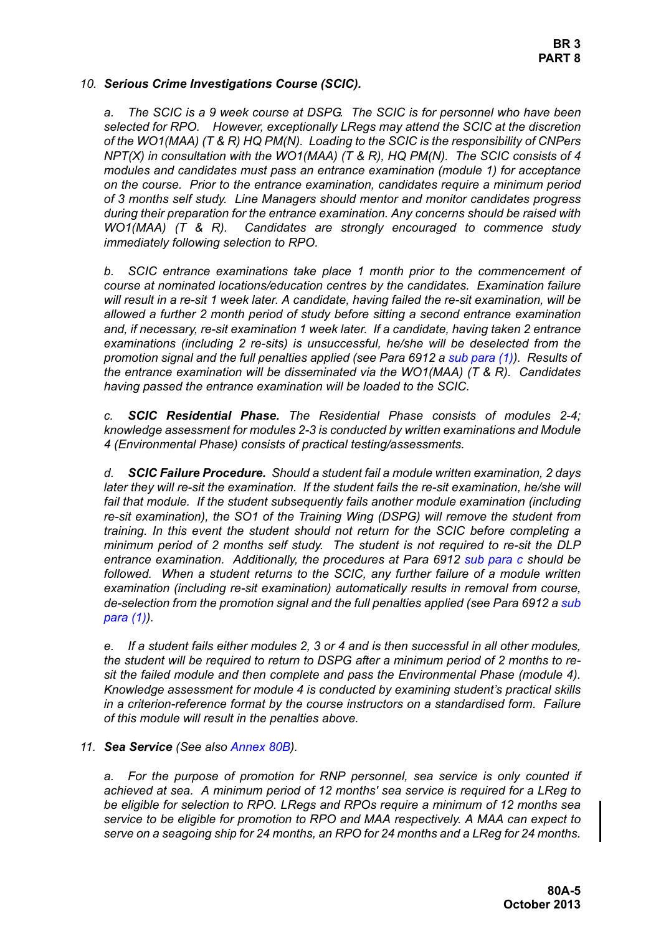**BR 3 PART 8**

#### *10. Serious Crime Investigations Course (SCIC).*

*a. The SCIC is a 9 week course at DSPG. The SCIC is for personnel who have been selected for RPO. However, exceptionally LRegs may attend the SCIC at the discretion of the WO1(MAA) (T & R) HQ PM(N). Loading to the SCIC is the responsibility of CNPers NPT(X) in consultation with the WO1(MAA) (T & R), HQ PM(N). The SCIC consists of 4 modules and candidates must pass an entrance examination (module 1) for acceptance on the course. Prior to the entrance examination, candidates require a minimum period of 3 months self study. Line Managers should mentor and monitor candidates progress during their preparation for the entrance examination. Any concerns should be raised with WO1(MAA) (T & R). Candidates are strongly encouraged to commence study immediately following selection to RPO.* 

*b. SCIC entrance examinations take place 1 month prior to the commencement of course at nominated locations/education centres by the candidates. Examination failure will result in a re-sit 1 week later. A candidate, having failed the re-sit examination, will be allowed a further 2 month period of study before sitting a second entrance examination and, if necessary, re-sit examination 1 week later. If a candidate, having taken 2 entrance examinations (including 2 re-sits) is unsuccessful, he/she will be deselected from the promotion signal and the full penalties applied (see Para 6912 a sub para (1)). Results of the entrance examination will be disseminated via the WO1(MAA) (T & R). Candidates having passed the entrance examination will be loaded to the SCIC.*

*c. SCIC Residential Phase. The Residential Phase consists of modules 2-4; knowledge assessment for modules 2-3 is conducted by written examinations and Module 4 (Environmental Phase) consists of practical testing/assessments.*

*d. SCIC Failure Procedure. Should a student fail a module written examination, 2 days later they will re-sit the examination. If the student fails the re-sit examination, he/she will fail that module. If the student subsequently fails another module examination (including re-sit examination), the SO1 of the Training Wing (DSPG) will remove the student from training. In this event the student should not return for the SCIC before completing a minimum period of 2 months self study. The student is not required to re-sit the DLP entrance examination. Additionally, the procedures at Para 6912 sub para c should be followed. When a student returns to the SCIC, any further failure of a module written examination (including re-sit examination) automatically results in removal from course, de-selection from the promotion signal and the full penalties applied (see Para 6912 a sub para (1)).*

*e. If a student fails either modules 2, 3 or 4 and is then successful in all other modules, the student will be required to return to DSPG after a minimum period of 2 months to resit the failed module and then complete and pass the Environmental Phase (module 4). Knowledge assessment for module 4 is conducted by examining student's practical skills in a criterion-reference format by the course instructors on a standardised form. Failure of this module will result in the penalties above.*

# *11. Sea Service (See also Annex 80B).*

*a. For the purpose of promotion for RNP personnel, sea service is only counted if achieved at sea. A minimum period of 12 months' sea service is required for a LReg to be eligible for selection to RPO. LRegs and RPOs require a minimum of 12 months sea service to be eligible for promotion to RPO and MAA respectively. A MAA can expect to serve on a seagoing ship for 24 months, an RPO for 24 months and a LReg for 24 months.*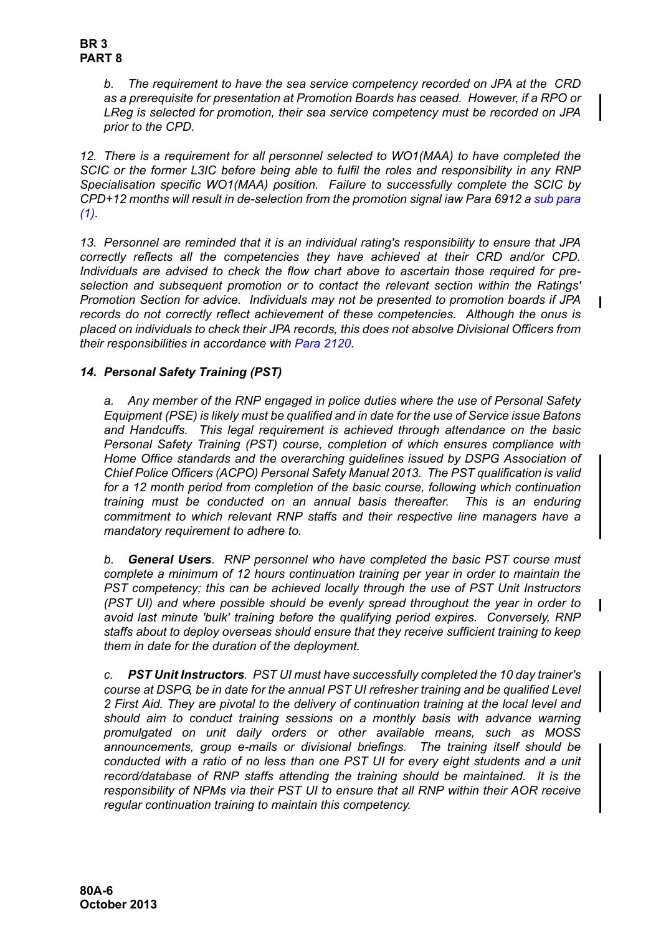*b. The requirement to have the sea service competency recorded on JPA at the CRD as a prerequisite for presentation at Promotion Boards has ceased. However, if a RPO or LReg is selected for promotion, their sea service competency must be recorded on JPA prior to the CPD.*

*12. There is a requirement for all personnel selected to WO1(MAA) to have completed the SCIC or the former L3IC before being able to fulfil the roles and responsibility in any RNP Specialisation specific WO1(MAA) position. Failure to successfully complete the SCIC by CPD+12 months will result in de-selection from the promotion signal iaw Para 6912 a sub para*  $(1)$ 

*13. Personnel are reminded that it is an individual rating's responsibility to ensure that JPA correctly reflects all the competencies they have achieved at their CRD and/or CPD. Individuals are advised to check the flow chart above to ascertain those required for preselection and subsequent promotion or to contact the relevant section within the Ratings' Promotion Section for advice. Individuals may not be presented to promotion boards if JPA records do not correctly reflect achievement of these competencies. Although the onus is placed on individuals to check their JPA records, this does not absolve Divisional Officers from their responsibilities in accordance with Para 2120.*

# *14. Personal Safety Training (PST)*

*a. Any member of the RNP engaged in police duties where the use of Personal Safety Equipment (PSE) is likely must be qualified and in date for the use of Service issue Batons and Handcuffs. This legal requirement is achieved through attendance on the basic Personal Safety Training (PST) course, completion of which ensures compliance with Home Office standards and the overarching guidelines issued by DSPG Association of Chief Police Officers (ACPO) Personal Safety Manual 2013. The PST qualification is valid for a 12 month period from completion of the basic course, following which continuation training must be conducted on an annual basis thereafter. This is an enduring commitment to which relevant RNP staffs and their respective line managers have a mandatory requirement to adhere to.* 

*b. General Users. RNP personnel who have completed the basic PST course must complete a minimum of 12 hours continuation training per year in order to maintain the PST competency; this can be achieved locally through the use of PST Unit Instructors (PST UI) and where possible should be evenly spread throughout the year in order to avoid last minute 'bulk' training before the qualifying period expires. Conversely, RNP staffs about to deploy overseas should ensure that they receive sufficient training to keep them in date for the duration of the deployment.*

*c. PST Unit Instructors. PST UI must have successfully completed the 10 day trainer's course at DSPG, be in date for the annual PST UI refresher training and be qualified Level 2 First Aid. They are pivotal to the delivery of continuation training at the local level and should aim to conduct training sessions on a monthly basis with advance warning promulgated on unit daily orders or other available means, such as MOSS announcements, group e-mails or divisional briefings. The training itself should be conducted with a ratio of no less than one PST UI for every eight students and a unit record/database of RNP staffs attending the training should be maintained. It is the responsibility of NPMs via their PST UI to ensure that all RNP within their AOR receive regular continuation training to maintain this competency.*